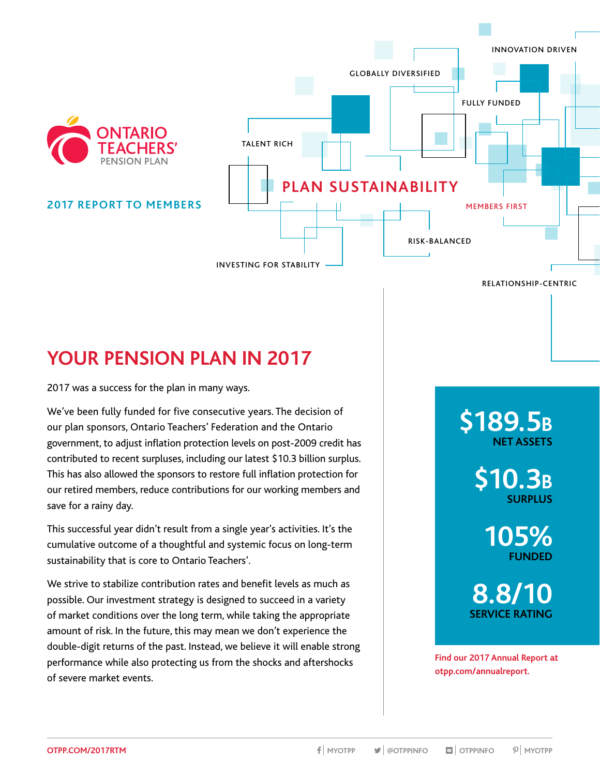

# **YOUR PENSION PLAN IN 2017**

2017 was a success for the plan in many ways.

We've been fully funded for five consecutive years. The decision of our plan sponsors, Ontario Teachers' Federation and the Ontario government, to adjust inflation protection levels on post-2009 credit has contributed to recent surpluses, including our latest \$10.3 billion surplus. This has also allowed the sponsors to restore full inflation protection for our retired members, reduce contributions for our working members and save for a rainy day.

This successful year didn't result from a single year's activities. It's the cumulative outcome of a thoughtful and systemic focus on long-term sustainability that is core to Ontario Teachers'.

We strive to stabilize contribution rates and benefit levels as much as possible. Our investment strategy is designed to succeed in a variety of market conditions over the long term, while taking the appropriate amount of risk. In the future, this may mean we don't experience the double-digit returns of the past. Instead, we believe it will enable strong performance while also protecting us from the shocks and aftershocks of severe market events.

**\$189.5B NET ASSETS**

> **\$10.3B SURPLUS**

> > **105% FUNDED**

**8.8/10 SERVICE RATING**

**Find our 2017 Annual Report at .[otpp.com/annualreport.](http://www.otpp.com/annualreport)**